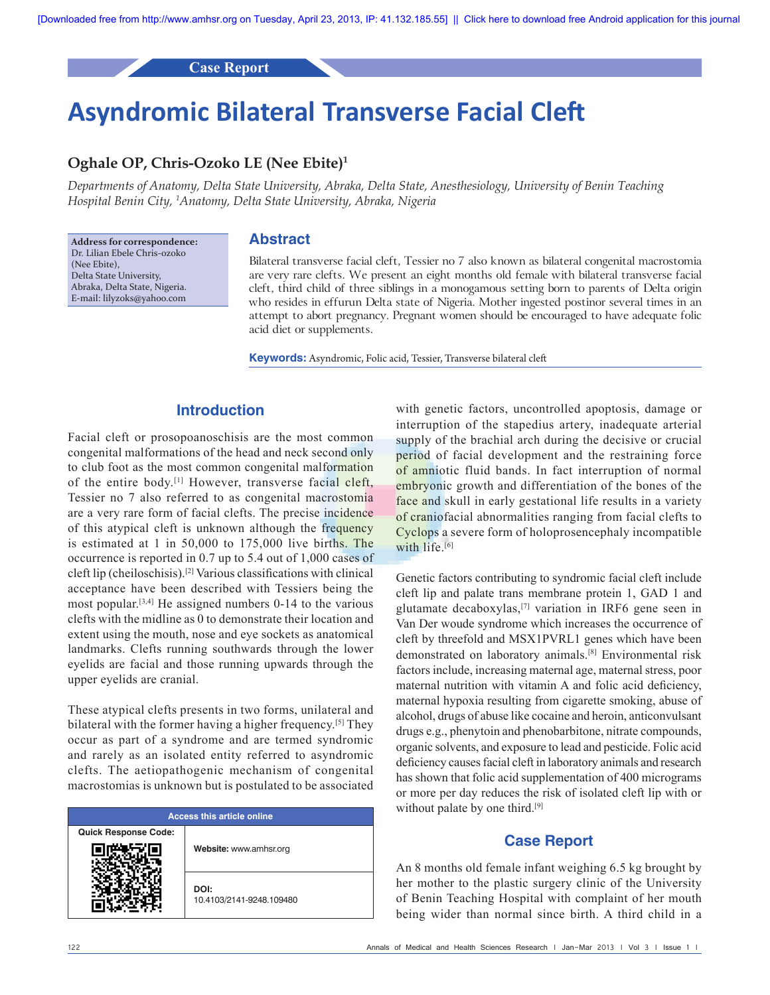**Case Report**

# **Asyndromic Bilateral Transverse Facial Cleft**

## **Oghale OP, Chris-Ozoko LE (Nee Ebite)1**

*Departments of Anatomy, Delta State University, Abraka, Delta State, Anesthesiology, University of Benin Teaching Hospital Benin City, 1 Anatomy, Delta State University, Abraka, Nigeria*

**Address for correspondence:** Dr. Lilian Ebele Chris‑ozoko (Nee Ebite), Delta State University, Abraka, Delta State, Nigeria. E‑mail: lilyzoks@yahoo.com

#### **Abstract**

Bilateral transverse facial cleft, Tessier no 7 also known as bilateral congenital macrostomia are very rare clefts. We present an eight months old female with bilateral transverse facial cleft, third child of three siblings in a monogamous setting born to parents of Delta origin who resides in effurun Delta state of Nigeria. Mother ingested postinor several times in an attempt to abort pregnancy. Pregnant women should be encouraged to have adequate folic acid diet or supplements.

**Keywords:** Asyndromic, Folic acid, Tessier, Transverse bilateral cleft

## **Introduction**

Facial cleft or prosopoanoschisis are the most common congenital malformations of the head and neck second only to club foot as the most common congenital malformation of the entire body.<sup>[1]</sup> However, transverse facial cleft, Tessier no 7 also referred to as congenital macrostomia are a very rare form of facial clefts. The precise incidence of this atypical cleft is unknown although the frequency is estimated at 1 in 50,000 to 175,000 live births. The occurrence is reported in 0.7 up to 5.4 out of 1,000 cases of cleft lip (cheiloschisis).[2] Various classifications with clinical acceptance have been described with Tessiers being the most popular.<sup>[3,4]</sup> He assigned numbers 0-14 to the various clefts with the midline as 0 to demonstrate their location and extent using the mouth, nose and eye sockets as anatomical landmarks. Clefts running southwards through the lower eyelids are facial and those running upwards through the upper eyelids are cranial.

These atypical clefts presents in two forms, unilateral and bilateral with the former having a higher frequency.[5] They occur as part of a syndrome and are termed syndromic and rarely as an isolated entity referred to asyndromic clefts. The aetiopathogenic mechanism of congenital macrostomias is unknown but is postulated to be associated

| <b>Access this article online</b> |                                  |
|-----------------------------------|----------------------------------|
| <b>Quick Response Code:</b>       | Website: www.amhsr.org           |
|                                   | DOI:<br>10.4103/2141-9248.109480 |

with genetic factors, uncontrolled apoptosis, damage or interruption of the stapedius artery, inadequate arterial supply of the brachial arch during the decisive or crucial period of facial development and the restraining force of amniotic fluid bands. In fact interruption of normal embryonic growth and differentiation of the bones of the face and skull in early gestational life results in a variety of craniofacial abnormalities ranging from facial clefts to Cyclops a severe form of holoprosencephaly incompatible with life.<sup>[6]</sup>

Genetic factors contributing to syndromic facial cleft include cleft lip and palate trans membrane protein 1, GAD 1 and glutamate decaboxylas,[7] variation in IRF6 gene seen in Van Der woude syndrome which increases the occurrence of cleft by threefold and MSX1PVRL1 genes which have been demonstrated on laboratory animals.[8] Environmental risk factors include, increasing maternal age, maternal stress, poor maternal nutrition with vitamin A and folic acid deficiency, maternal hypoxia resulting from cigarette smoking, abuse of alcohol, drugs of abuse like cocaine and heroin, anticonvulsant drugs e.g., phenytoin and phenobarbitone, nitrate compounds, organic solvents, and exposure to lead and pesticide. Folic acid deficiency causes facial cleft in laboratory animals and research has shown that folic acid supplementation of 400 micrograms or more per day reduces the risk of isolated cleft lip with or without palate by one third.<sup>[9]</sup>

#### **Case Report**

An 8 months old female infant weighing 6.5 kg brought by her mother to the plastic surgery clinic of the University of Benin Teaching Hospital with complaint of her mouth being wider than normal since birth. A third child in a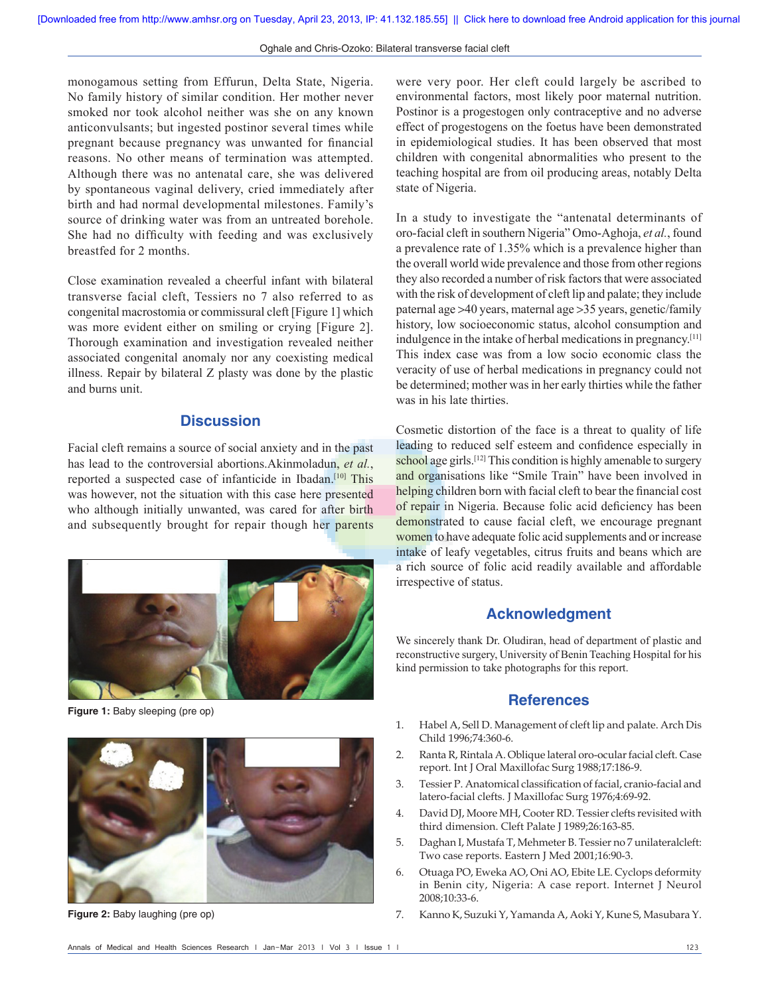monogamous setting from Effurun, Delta State, Nigeria. No family history of similar condition. Her mother never smoked nor took alcohol neither was she on any known anticonvulsants; but ingested postinor several times while pregnant because pregnancy was unwanted for financial reasons. No other means of termination was attempted. Although there was no antenatal care, she was delivered by spontaneous vaginal delivery, cried immediately after birth and had normal developmental milestones. Family's source of drinking water was from an untreated borehole. She had no difficulty with feeding and was exclusively breastfed for 2 months.

Close examination revealed a cheerful infant with bilateral transverse facial cleft, Tessiers no 7 also referred to as congenital macrostomia or commissural cleft [Figure 1] which was more evident either on smiling or crying [Figure 2]. Thorough examination and investigation revealed neither associated congenital anomaly nor any coexisting medical illness. Repair by bilateral Z plasty was done by the plastic and burns unit.

#### **Discussion**

Facial cleft remains a source of social anxiety and in the past has lead to the controversial abortions.Akinmoladun, *et al.*, reported a suspected case of infanticide in Ibadan.<sup>[10]</sup> This was however, not the situation with this case here presented who although initially unwanted, was cared for after birth and subsequently brought for repair though her parents



**Figure 1:** Baby sleeping (pre op)



**Figure 2:** Baby laughing (pre op)

were very poor. Her cleft could largely be ascribed to environmental factors, most likely poor maternal nutrition. Postinor is a progestogen only contraceptive and no adverse effect of progestogens on the foetus have been demonstrated in epidemiological studies. It has been observed that most children with congenital abnormalities who present to the teaching hospital are from oil producing areas, notably Delta state of Nigeria.

In a study to investigate the "antenatal determinants of oro‑facial cleft in southern Nigeria" Omo‑Aghoja, *et al.*, found a prevalence rate of 1.35% which is a prevalence higher than the overall world wide prevalence and those from other regions they also recorded a number of risk factors that were associated with the risk of development of cleft lip and palate; they include paternal age >40 years, maternal age >35 years, genetic/family history, low socioeconomic status, alcohol consumption and indulgence in the intake of herbal medications in pregnancy.[11] This index case was from a low socio economic class the veracity of use of herbal medications in pregnancy could not be determined; mother was in her early thirties while the father was in his late thirties.

Cosmetic distortion of the face is a threat to quality of life leading to reduced self esteem and confidence especially in school age girls.<sup>[12]</sup> This condition is highly amenable to surgery and organisations like "Smile Train" have been involved in helping children born with facial cleft to bear the financial cost of repair in Nigeria. Because folic acid deficiency has been demonstrated to cause facial cleft, we encourage pregnant women to have adequate folic acid supplements and or increase intake of leafy vegetables, citrus fruits and beans which are a rich source of folic acid readily available and affordable irrespective of status.

### **Acknowledgment**

We sincerely thank Dr. Oludiran, head of department of plastic and reconstructive surgery, University of Benin Teaching Hospital for his kind permission to take photographs for this report.

#### **References**

- 1. Habel A, Sell D. Management of cleft lip and palate. Arch Dis Child 1996;74:360‑6.
- 2. Ranta R, Rintala A. Oblique lateral oro‑ocular facial cleft. Case report. Int J Oral Maxillofac Surg 1988;17:186‑9.
- 3. Tessier P. Anatomical classification of facial, cranio-facial and latero-facial clefts. J Maxillofac Surg 1976;4:69-92.
- 4. David DJ, Moore MH, Cooter RD. Tessier clefts revisited with third dimension. Cleft Palate J 1989;26:163-85.
- 5. Daghan I, Mustafa T, Mehmeter B. Tessier no 7 unilateralcleft: Two case reports. Eastern J Med 2001;16:90-3.
- 6. Otuaga PO, Eweka AO, Oni AO, Ebite LE. Cyclops deformity in Benin city, Nigeria: A case report. Internet J Neurol 2008;10:33‑6.
- 7. Kanno K, Suzuki Y, Yamanda A, Aoki Y, Kune S, Masubara Y.